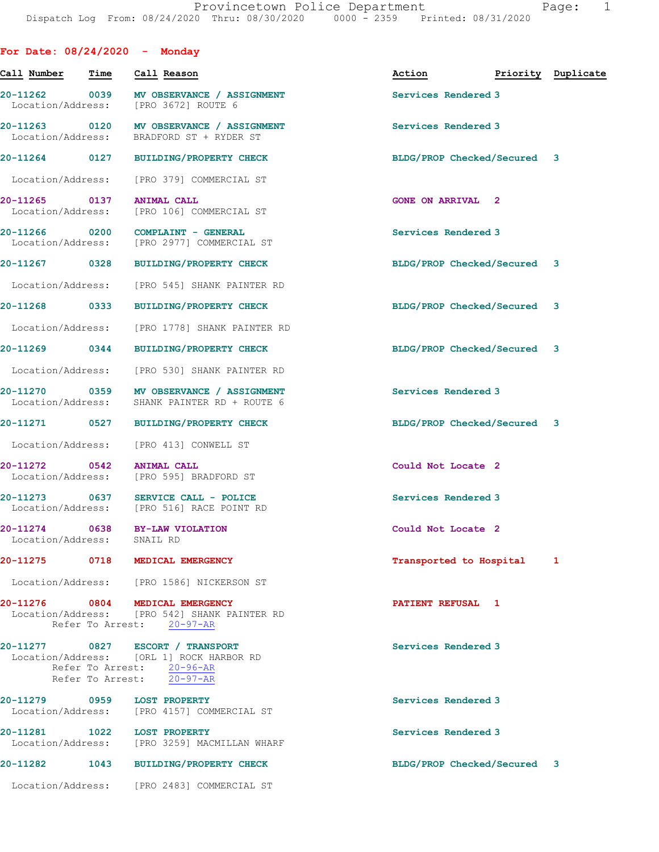|                            |      | For Date: $08/24/2020 -$ Monday                                                                                                        |                             |                    |
|----------------------------|------|----------------------------------------------------------------------------------------------------------------------------------------|-----------------------------|--------------------|
| Call Number                | Time | Call Reason                                                                                                                            | Action                      | Priority Duplicate |
|                            |      | 20-11262 0039 MV OBSERVANCE / ASSIGNMENT<br>Location/Address: [PRO 3672] ROUTE 6                                                       | Services Rendered 3         |                    |
| Location/Address:          |      | 20-11263 0120 MV OBSERVANCE / ASSIGNMENT<br>BRADFORD ST + RYDER ST                                                                     | Services Rendered 3         |                    |
|                            |      | 20-11264 0127 BUILDING/PROPERTY CHECK                                                                                                  | BLDG/PROP Checked/Secured 3 |                    |
|                            |      | Location/Address: [PRO 379] COMMERCIAL ST                                                                                              |                             |                    |
| 20-11265 0137              |      | <b>ANIMAL CALL</b><br>Location/Address: [PRO 106] COMMERCIAL ST                                                                        | <b>GONE ON ARRIVAL 2</b>    |                    |
| 20-11266 0200              |      | COMPLAINT - GENERAL<br>Location/Address: [PRO 2977] COMMERCIAL ST                                                                      | Services Rendered 3         |                    |
| 20-11267 0328              |      | BUILDING/PROPERTY CHECK                                                                                                                | BLDG/PROP Checked/Secured 3 |                    |
| Location/Address:          |      | [PRO 545] SHANK PAINTER RD                                                                                                             |                             |                    |
| 20-11268 0333              |      | <b>BUILDING/PROPERTY CHECK</b>                                                                                                         | BLDG/PROP Checked/Secured 3 |                    |
| Location/Address:          |      | [PRO 1778] SHANK PAINTER RD                                                                                                            |                             |                    |
|                            |      | 20-11269 0344 BUILDING/PROPERTY CHECK                                                                                                  | BLDG/PROP Checked/Secured 3 |                    |
|                            |      | Location/Address: [PRO 530] SHANK PAINTER RD                                                                                           |                             |                    |
|                            |      | 20-11270 0359 MV OBSERVANCE / ASSIGNMENT<br>Location/Address: SHANK PAINTER RD + ROUTE 6                                               | Services Rendered 3         |                    |
|                            |      | 20-11271 0527 BUILDING/PROPERTY CHECK                                                                                                  | BLDG/PROP Checked/Secured 3 |                    |
|                            |      | Location/Address: [PRO 413] CONWELL ST                                                                                                 |                             |                    |
| 20-11272 0542              |      | <b>ANIMAL CALL</b><br>Location/Address: [PRO 595] BRADFORD ST                                                                          | Could Not Locate 2          |                    |
|                            |      | 20-11273 0637 SERVICE CALL - POLICE<br>Location/Address: [PRO 516] RACE POINT RD                                                       | Services Rendered 3         |                    |
| Location/Address: SNAIL RD |      | 20-11274 0638 BY-LAW VIOLATION                                                                                                         | Could Not Locate 2          |                    |
|                            |      | 20-11275 0718 MEDICAL EMERGENCY                                                                                                        | Transported to Hospital     | 1                  |
|                            |      | Location/Address: [PRO 1586] NICKERSON ST                                                                                              |                             |                    |
|                            |      | 20-11276 0804 MEDICAL EMERGENCY<br>Location/Address: [PRO 542] SHANK PAINTER RD<br>Refer To Arrest: 20-97-AR                           | PATIENT REFUSAL 1           |                    |
|                            |      | 20-11277 0827 ESCORT / TRANSPORT<br>Location/Address: [ORL 1] ROCK HARBOR RD<br>Refer To Arrest: 20-96-AR<br>Refer To Arrest: 20-97-AR | Services Rendered 3         |                    |
|                            |      | 20-11279 0959 LOST PROPERTY<br>Location/Address: [PRO 4157] COMMERCIAL ST                                                              | Services Rendered 3         |                    |
|                            |      | 20-11281    1022    LOST PROPERTY<br>Location/Address: [PRO 3259] MACMILLAN WHARF                                                      | Services Rendered 3         |                    |
| 20-11282                   |      | 1043 BUILDING/PROPERTY CHECK                                                                                                           | BLDG/PROP Checked/Secured 3 |                    |
|                            |      | Location/Address: [PRO 2483] COMMERCIAL ST                                                                                             |                             |                    |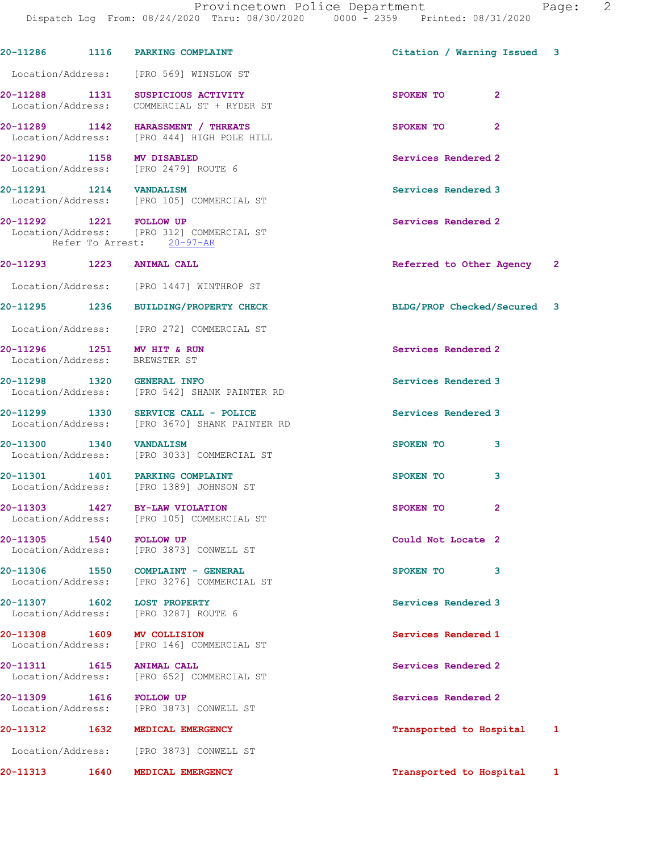|                                                             | 20-11286 1116 PARKING COMPLAINT                                                      | Citation / Warning Issued 3 |              |
|-------------------------------------------------------------|--------------------------------------------------------------------------------------|-----------------------------|--------------|
|                                                             | Location/Address: [PRO 569] WINSLOW ST                                               |                             |              |
|                                                             | 20-11288 1131 SUSPICIOUS ACTIVITY<br>Location/Address: COMMERCIAL ST + RYDER ST      | SPOKEN TO<br>$\overline{2}$ |              |
|                                                             | 20-11289 1142 HARASSMENT / THREATS<br>Location/Address: [PRO 444] HIGH POLE HILL     | $\overline{2}$<br>SPOKEN TO |              |
| 20-11290 1158 MV DISABLED                                   | Location/Address: [PRO 2479] ROUTE 6                                                 | Services Rendered 2         |              |
| 20-11291 1214 VANDALISM                                     | Location/Address: [PRO 105] COMMERCIAL ST                                            | Services Rendered 3         |              |
| 20-11292 1221 FOLLOW UP                                     | Location/Address: [PRO 312] COMMERCIAL ST<br>Refer To Arrest: 20-97-AR               | Services Rendered 2         |              |
| 20-11293 1223 ANIMAL CALL                                   |                                                                                      | Referred to Other Agency 2  |              |
|                                                             | Location/Address: [PRO 1447] WINTHROP ST                                             |                             |              |
|                                                             | 20-11295 1236 BUILDING/PROPERTY CHECK                                                | BLDG/PROP Checked/Secured 3 |              |
|                                                             | Location/Address: [PRO 272] COMMERCIAL ST                                            |                             |              |
| 20-11296 1251 MV HIT & RUN<br>Location/Address: BREWSTER ST |                                                                                      | Services Rendered 2         |              |
|                                                             | 20-11298 1320 GENERAL INFO<br>Location/Address: [PRO 542] SHANK PAINTER RD           | Services Rendered 3         |              |
|                                                             | 20-11299 1330 SERVICE CALL - POLICE<br>Location/Address: [PRO 3670] SHANK PAINTER RD | Services Rendered 3         |              |
| 20-11300 1340 VANDALISM                                     | Location/Address: [PRO 3033] COMMERCIAL ST                                           | SPOKEN TO<br>3              |              |
|                                                             | 20-11301  1401  PARKING COMPLAINT<br>Location/Address: [PRO 1389] JOHNSON ST         | 3<br>SPOKEN TO              |              |
|                                                             | 20-11303 1427 BY-LAW VIOLATION<br>Location/Address: [PRO 105] COMMERCIAL ST          | $\overline{2}$<br>SPOKEN TO |              |
| 20-11305 1540                                               | <b>FOLLOW UP</b><br>Location/Address: [PRO 3873] CONWELL ST                          | Could Not Locate 2          |              |
|                                                             | 20-11306 1550 COMPLAINT - GENERAL<br>Location/Address: [PRO 3276] COMMERCIAL ST      | 3<br>SPOKEN TO              |              |
| 20-11307 1602 LOST PROPERTY                                 | Location/Address: [PRO 3287] ROUTE 6                                                 | Services Rendered 3         |              |
| 20-11308 1609 MV COLLISION                                  | Location/Address: [PRO 146] COMMERCIAL ST                                            | Services Rendered 1         |              |
| 20-11311 1615                                               | <b>ANIMAL CALL</b><br>Location/Address: [PRO 652] COMMERCIAL ST                      | Services Rendered 2         |              |
| 20-11309 1616 FOLLOW UP                                     | Location/Address: [PRO 3873] CONWELL ST                                              | Services Rendered 2         |              |
|                                                             | 20-11312 1632 MEDICAL EMERGENCY                                                      | Transported to Hospital     | $\mathbf{1}$ |
|                                                             | Location/Address: [PRO 3873] CONWELL ST                                              |                             |              |
| 1640<br>20-11313                                            | MEDICAL EMERGENCY                                                                    | Transported to Hospital     | $\mathbf{1}$ |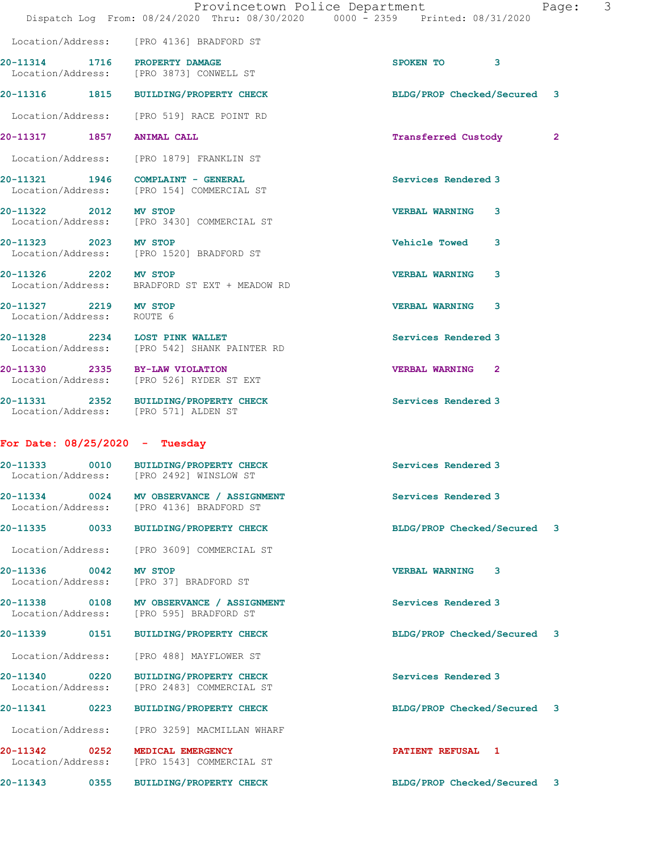|                                                    | Dispatch Log From: 08/24/2020 Thru: 08/30/2020 0000 - 2359 Printed: 08/31/2020       |                             |              |
|----------------------------------------------------|--------------------------------------------------------------------------------------|-----------------------------|--------------|
|                                                    | Location/Address: [PRO 4136] BRADFORD ST                                             |                             |              |
| 20-11314 1716 PROPERTY DAMAGE                      | Location/Address: [PRO 3873] CONWELL ST                                              | SPOKEN TO 3                 |              |
|                                                    | 20-11316 1815 BUILDING/PROPERTY CHECK                                                | BLDG/PROP Checked/Secured 3 |              |
|                                                    | Location/Address: [PRO 519] RACE POINT RD                                            |                             |              |
| 20-11317 1857 ANIMAL CALL                          |                                                                                      | Transferred Custody         | $\mathbf{2}$ |
|                                                    | Location/Address: [PRO 1879] FRANKLIN ST                                             |                             |              |
|                                                    | 20-11321 1946 COMPLAINT - GENERAL<br>Location/Address: [PRO 154] COMMERCIAL ST       | Services Rendered 3         |              |
| 20-11322 2012 MV STOP                              | Location/Address: [PRO 3430] COMMERCIAL ST                                           | <b>VERBAL WARNING 3</b>     |              |
| 20-11323 2023 MV STOP                              | Location/Address: [PRO 1520] BRADFORD ST                                             | Vehicle Towed 3             |              |
|                                                    | 20-11326 2202 MV STOP<br>Location/Address: BRADFORD ST EXT + MEADOW RD               | 3<br><b>VERBAL WARNING</b>  |              |
| 20-11327 2219 MV STOP<br>Location/Address: ROUTE 6 |                                                                                      | <b>VERBAL WARNING 3</b>     |              |
| 20-11328 2234 LOST PINK WALLET                     | Location/Address: [PRO 542] SHANK PAINTER RD                                         | Services Rendered 3         |              |
| 20-11330 2335 BY-LAW VIOLATION                     | Location/Address: [PRO 526] RYDER ST EXT                                             | VERBAL WARNING <sub>2</sub> |              |
| Location/Address: [PRO 571] ALDEN ST               | 20-11331 2352 BUILDING/PROPERTY CHECK                                                | Services Rendered 3         |              |
| For Date: $08/25/2020 -$ Tuesday                   |                                                                                      |                             |              |
|                                                    | 20-11333 0010 BUILDING/PROPERTY CHECK<br>Location/Address: [PRO 2492] WINSLOW ST     | Services Rendered 3         |              |
|                                                    | 20-11334 0024 MV OBSERVANCE / ASSIGNMENT<br>Location/Address: [PRO 4136] BRADFORD ST | <b>Services Rendered 3</b>  |              |
| 20-11335                                           | 0033 BUILDING/PROPERTY CHECK                                                         | BLDG/PROP Checked/Secured   | 3            |
|                                                    | Location/Address: [PRO 3609] COMMERCIAL ST                                           |                             |              |
| 20-11336 0042                                      | <b>MV STOP</b><br>Location/Address: [PRO 37] BRADFORD ST                             | <b>VERBAL WARNING 3</b>     |              |
|                                                    | 20-11338 0108 MV OBSERVANCE / ASSIGNMENT<br>Location/Address: [PRO 595] BRADFORD ST  | Services Rendered 3         |              |
| 20-11339 0151                                      | BUILDING/PROPERTY CHECK                                                              | BLDG/PROP Checked/Secured 3 |              |
| Location/Address:                                  | [PRO 488] MAYFLOWER ST                                                               |                             |              |
| 20-11340 0220<br>Location/Address:                 | <b>BUILDING/PROPERTY CHECK</b><br>[PRO 2483] COMMERCIAL ST                           | Services Rendered 3         |              |
| 20-11341<br>0223                                   | <b>BUILDING/PROPERTY CHECK</b>                                                       | BLDG/PROP Checked/Secured   | 3            |
|                                                    | Location/Address: [PRO 3259] MACMILLAN WHARF                                         |                             |              |
| 20-11342 0252                                      | MEDICAL EMERGENCY<br>Location/Address: [PRO 1543] COMMERCIAL ST                      | PATIENT REFUSAL 1           |              |
| 20-11343 0355                                      | <b>BUILDING/PROPERTY CHECK</b>                                                       | BLDG/PROP Checked/Secured 3 |              |

Provincetown Police Department Page: 3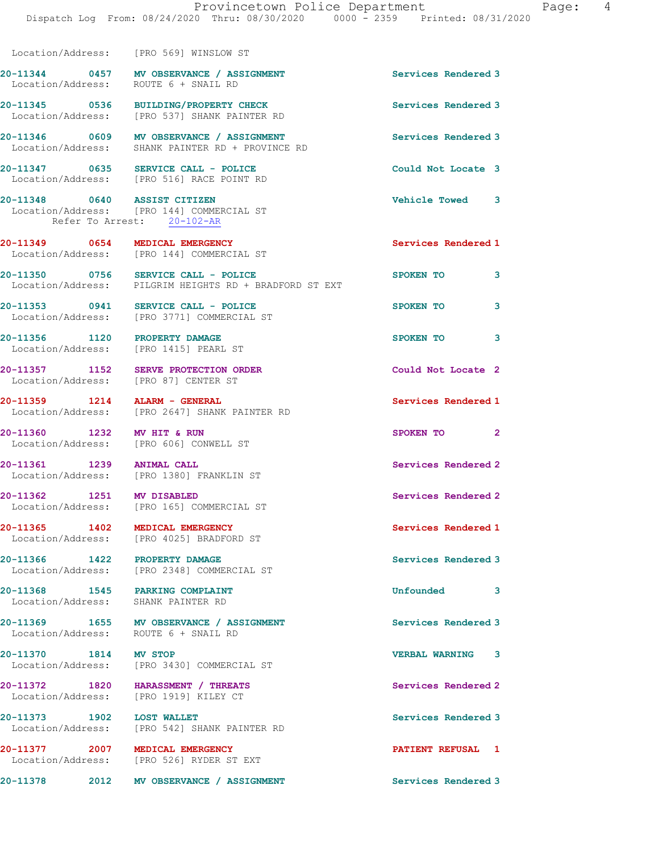Location/Address: [PRO 569] WINSLOW ST

| Location/Address: ROUTE 6 + SNAIL RD                                        | 20-11344 0457 MV OBSERVANCE / ASSIGNMENT                                                     | Services Rendered 3                     |
|-----------------------------------------------------------------------------|----------------------------------------------------------------------------------------------|-----------------------------------------|
|                                                                             | 20-11345 0536 BUILDING/PROPERTY CHECK<br>Location/Address: [PRO 537] SHANK PAINTER RD        | Services Rendered 3                     |
|                                                                             | 20-11346 0609 MV OBSERVANCE / ASSIGNMENT<br>Location/Address: SHANK PAINTER RD + PROVINCE RD | Services Rendered 3                     |
| 20-11347 0635 SERVICE CALL - POLICE                                         | Location/Address: [PRO 516] RACE POINT RD                                                    | Could Not Locate 3                      |
| 20-11348 0640 ASSIST CITIZEN                                                | Location/Address: [PRO 144] COMMERCIAL ST<br>Refer To Arrest: 20-102-AR                      | Vehicle Towed 3                         |
| 20-11349 0654 MEDICAL EMERGENCY                                             | Location/Address: [PRO 144] COMMERCIAL ST                                                    | Services Rendered 1                     |
| 20-11350 0756 SERVICE CALL - POLICE                                         | Location/Address: PILGRIM HEIGHTS RD + BRADFORD ST EXT                                       | $\overline{\phantom{a}}$ 3<br>SPOKEN TO |
| 20-11353 0941 SERVICE CALL - POLICE                                         | Location/Address: [PRO 3771] COMMERCIAL ST                                                   | 3<br>SPOKEN TO                          |
| 20-11356 1120 PROPERTY DAMAGE<br>Location/Address: [PRO 1415] PEARL ST      |                                                                                              | SPOKEN TO 3                             |
| 20-11357 1152 SERVE PROTECTION ON Location/Address: [PRO 87] CENTER ST      | SERVE PROTECTION ORDER                                                                       | Could Not Locate 2                      |
| 20-11359 1214 ALARM - GENERAL                                               | Location/Address: [PRO 2647] SHANK PAINTER RD                                                | Services Rendered 1                     |
| 20-11360 1232<br>Location/Address: [PRO 606] CONWELL ST                     | MV HIT & RUN                                                                                 | SPOKEN TO 2                             |
| 20-11361 1239 ANIMAL CALL                                                   | Location/Address: [PRO 1380] FRANKLIN ST                                                     | Services Rendered 2                     |
| 20-11362 1251 MV DISABLED                                                   | Location/Address: [PRO 165] COMMERCIAL ST                                                    | Services Rendered 2                     |
| 20-11365 1402 MEDICAL EMERGENCY                                             | Location/Address: [PRO 4025] BRADFORD ST                                                     | Services Rendered 1                     |
| 20-11366 1422 PROPERTY DAMAGE                                               | Location/Address: [PRO 2348] COMMERCIAL ST                                                   | Services Rendered 3                     |
| 20-11368 1545 PARKING COMPLAINT<br>Location/Address: SHANK PAINTER RD       |                                                                                              | Unfounded 3                             |
| Location/Address: ROUTE 6 + SNAIL RD                                        | 20-11369 1655 MV OBSERVANCE / ASSIGNMENT                                                     | Services Rendered 3                     |
| 20-11370 1814 MV STOP                                                       | Location/Address: [PRO 3430] COMMERCIAL ST                                                   | <b>VERBAL WARNING 3</b>                 |
| 20-11372 1820 HARASSMENT / THREATS<br>Location/Address: [PRO 1919] KILEY CT |                                                                                              | Services Rendered 2                     |
|                                                                             | 20-11373 1902 LOST WALLET<br>Location/Address: [PRO 542] SHANK PAINTER RD                    | Services Rendered 3                     |
| 20-11377 2007 MEDICAL EMERGENCY                                             | Location/Address: [PRO 526] RYDER ST EXT                                                     | PATIENT REFUSAL 1                       |
|                                                                             | 20-11378 2012 MV OBSERVANCE / ASSIGNMENT                                                     | Services Rendered 3                     |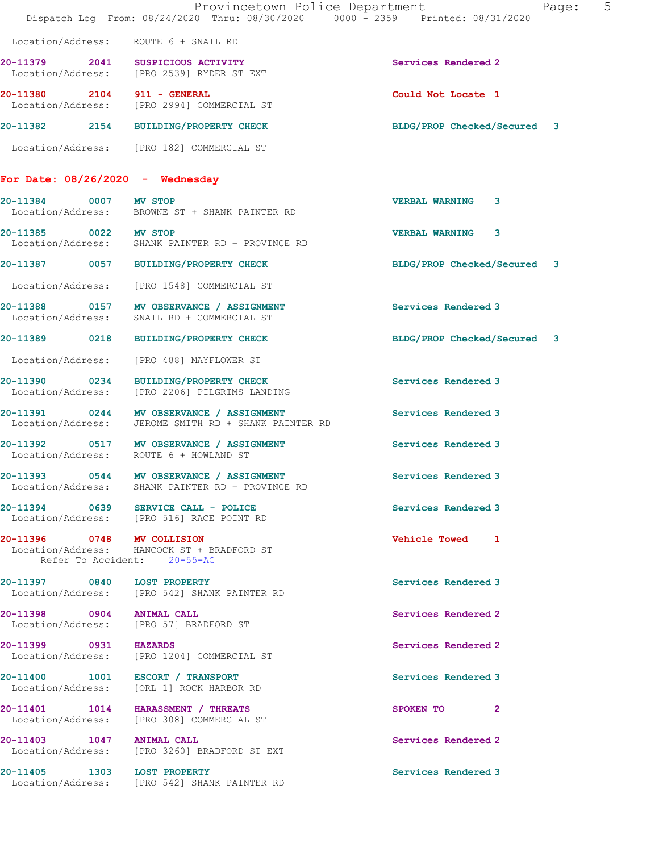|                       | Provincetown Police Department<br>Dispatch Log From: 08/24/2020 Thru: 08/30/2020 0000 - 2359 Printed: 08/31/2020 |                             | 5<br>Page: |
|-----------------------|------------------------------------------------------------------------------------------------------------------|-----------------------------|------------|
|                       | Location/Address: ROUTE 6 + SNAIL RD                                                                             |                             |            |
|                       | 20-11379 2041 SUSPICIOUS ACTIVITY<br>Location/Address: [PRO 2539] RYDER ST EXT                                   | Services Rendered 2         |            |
|                       | 20-11380 2104 911 - GENERAL<br>Location/Address: [PRO 2994] COMMERCIAL ST                                        | Could Not Locate 1          |            |
|                       | 20-11382 2154 BUILDING/PROPERTY CHECK                                                                            | BLDG/PROP Checked/Secured 3 |            |
|                       | Location/Address: [PRO 182] COMMERCIAL ST                                                                        |                             |            |
|                       | For Date: $08/26/2020 -$ Wednesday                                                                               |                             |            |
| 20-11384 0007 MV STOP | Location/Address: BROWNE ST + SHANK PAINTER RD                                                                   | <b>VERBAL WARNING</b><br>3  |            |
| 20-11385 0022 MV STOP | Location/Address: SHANK PAINTER RD + PROVINCE RD                                                                 | <b>VERBAL WARNING 3</b>     |            |
|                       | 20-11387 0057 BUILDING/PROPERTY CHECK                                                                            | BLDG/PROP Checked/Secured 3 |            |
| Location/Address:     | [PRO 1548] COMMERCIAL ST                                                                                         |                             |            |
|                       | 20-11388 0157 MV OBSERVANCE / ASSIGNMENT<br>Location/Address: SNAIL RD + COMMERCIAL ST                           | Services Rendered 3         |            |
| 20-11389 0218         | <b>BUILDING/PROPERTY CHECK</b>                                                                                   | BLDG/PROP Checked/Secured 3 |            |
| Location/Address:     | [PRO 488] MAYFLOWER ST                                                                                           |                             |            |
|                       | 20-11390 0234 BUILDING/PROPERTY CHECK<br>Location/Address: [PRO 2206] PILGRIMS LANDING                           | Services Rendered 3         |            |
|                       | 20-11391 0244 MV OBSERVANCE / ASSIGNMENT<br>Location/Address: JEROME SMITH RD + SHANK PAINTER RD                 | Services Rendered 3         |            |
|                       | 20-11392 0517 MV OBSERVANCE / ASSIGNMENT<br>Location/Address: ROUTE 6 + HOWLAND ST                               | Services Rendered 3         |            |
| Location/Address:     | 20-11393 0544 MV OBSERVANCE / ASSIGNMENT<br>SHANK PAINTER RD + PROVINCE RD                                       | Services Rendered 3         |            |
|                       | 20-11394 0639 SERVICE CALL - POLICE<br>Location/Address: [PRO 516] RACE POINT RD                                 | Services Rendered 3         |            |
|                       | 20-11396 0748 MV COLLISION<br>Location/Address: HANCOCK ST + BRADFORD ST<br>Refer To Accident: 20-55-AC          | Vehicle Towed 1             |            |
|                       | 20-11397 0840 LOST PROPERTY<br>Location/Address: [PRO 542] SHANK PAINTER RD                                      | Services Rendered 3         |            |
|                       | 20-11398 0904 ANIMAL CALL<br>Location/Address: [PRO 57] BRADFORD ST                                              | Services Rendered 2         |            |
| 20-11399 0931 HAZARDS | Location/Address: [PRO 1204] COMMERCIAL ST                                                                       | Services Rendered 2         |            |
|                       | 20-11400 1001 ESCORT / TRANSPORT<br>Location/Address: [ORL 1] ROCK HARBOR RD                                     | Services Rendered 3         |            |
|                       | 20-11401 1014 HARASSMENT / THREATS<br>Location/Address: [PRO 308] COMMERCIAL ST                                  | SPOKEN TO 2                 |            |
|                       | 20-11403 1047 ANIMAL CALL<br>Location/Address: [PRO 3260] BRADFORD ST EXT                                        | Services Rendered 2         |            |
|                       | 20-11405 1303 LOST PROPERTY<br>Location/Address: [PRO 542] SHANK PAINTER RD                                      | Services Rendered 3         |            |
|                       |                                                                                                                  |                             |            |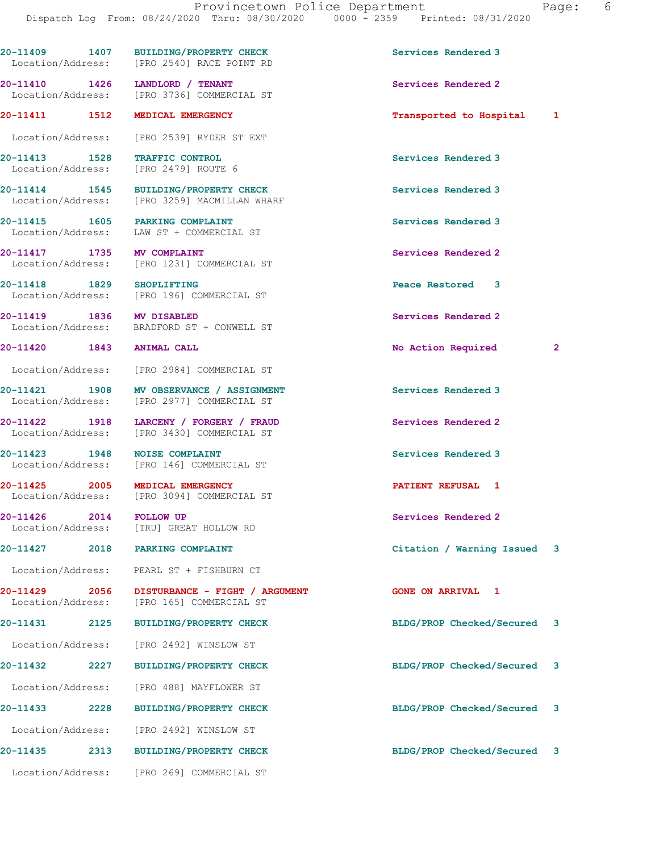20-11409 1407 BUILDING/PROPERTY CHECK Services Rendered 3 Location/Address: [PRO 2540] RACE POINT RD 20-11410 1426 LANDLORD / TENANT Services Rendered 2 [PRO 3736] COMMERCIAL ST 20-11411 1512 MEDICAL EMERGENCY 1990 11411 1512 1 Location/Address: [PRO 2539] RYDER ST EXT 20-11413 1528 TRAFFIC CONTROL 20-11413 1528 TRAFFIC CONTROL Services Rendered 3 Location/Address: 20-11414 1545 BUILDING/PROPERTY CHECK Services Rendered 3 Location/Address: [PRO 3259] MACMILLAN WHARF 20-11415 1605 PARKING COMPLAINT Services Rendered 3 Location/Address: LAW ST + COMMERCIAL ST 20-11417 1735 MV COMPLAINT Services Rendered 2 Location/Address: [PRO 1231] COMMERCIAL ST 20-11418 1829 SHOPLIFTING Peace Restored 3 Location/Address: [PRO 196] COMMERCIAL ST 20-11419 1836 MV DISABLED Services Rendered 2 Location/Address: BRADFORD ST + CONWELL ST 20-11420 1843 ANIMAL CALL 20 No Action Required 2 Location/Address: [PRO 2984] COMMERCIAL ST 20-11421 1908 MV OBSERVANCE / ASSIGNMENT Services Rendered 3<br>
Location/Address: [PRO 2977] COMMERCIAL ST [PRO 2977] COMMERCIAL ST 20-11422 1918 LARCENY / FORGERY / FRAUD Services Rendered 2 Location/Address: [PRO 3430] COMMERCIAL ST 20-11423 1948 NOISE COMPLAINT Services Rendered 3 Location/Address: [PRO 146] COMMERCIAL ST 20-11425 2005 MEDICAL EMERGENCY **PATIENT REFUSAL 1**  Location/Address: [PRO 3094] COMMERCIAL ST 20-11426 2014 FOLLOW UP Services Rendered 2 Location/Address: [TRU] GREAT HOLLOW RD 20-11427 2018 PARKING COMPLAINT Citation / Warning Issued 3 Location/Address: PEARL ST + FISHBURN CT 20-11429 2056 DISTURBANCE - FIGHT / ARGUMENT GONE ON ARRIVAL 1 [PRO 165] COMMERCIAL ST 20-11431 2125 BUILDING/PROPERTY CHECK BLDG/PROP Checked/Secured 3 Location/Address: [PRO 2492] WINSLOW ST 20-11432 2227 BUILDING/PROPERTY CHECK BLDG/PROP Checked/Secured 3 Location/Address: [PRO 488] MAYFLOWER ST 20-11433 2228 BUILDING/PROPERTY CHECK BLDG/PROP Checked/Secured 3 Location/Address: [PRO 2492] WINSLOW ST 20-11435 2313 BUILDING/PROPERTY CHECK BLDG/PROP Checked/Secured 3 Location/Address: [PRO 269] COMMERCIAL ST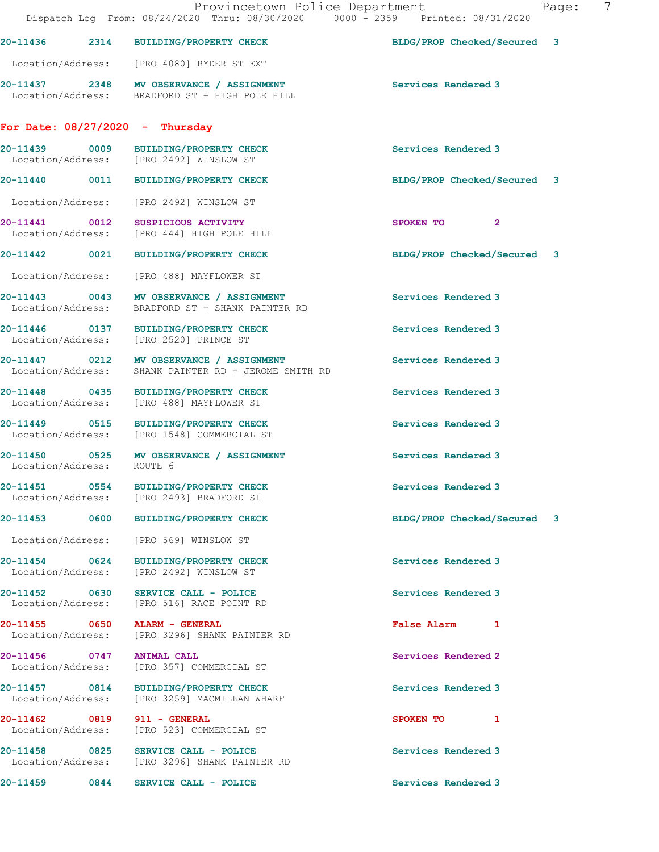|                           | Provincetown Police Department<br>Dispatch Log From: 08/24/2020 Thru: 08/30/2020 0000 - 2359 Printed: 08/31/2020 |                             | 7<br>Page: |
|---------------------------|------------------------------------------------------------------------------------------------------------------|-----------------------------|------------|
|                           | 20-11436 2314 BUILDING/PROPERTY CHECK                                                                            | BLDG/PROP Checked/Secured 3 |            |
|                           | Location/Address: [PRO 4080] RYDER ST EXT                                                                        |                             |            |
|                           | 20-11437 2348 MV OBSERVANCE / ASSIGNMENT<br>Location/Address: BRADFORD ST + HIGH POLE HILL                       | Services Rendered 3         |            |
|                           | For Date: $08/27/2020 -$ Thursday                                                                                |                             |            |
|                           | 20-11439 0009 BUILDING/PROPERTY CHECK<br>Location/Address: [PRO 2492] WINSLOW ST                                 | Services Rendered 3         |            |
|                           | 20-11440 0011 BUILDING/PROPERTY CHECK                                                                            | BLDG/PROP Checked/Secured 3 |            |
|                           | Location/Address: [PRO 2492] WINSLOW ST                                                                          |                             |            |
|                           | 20-11441 0012 SUSPICIOUS ACTIVITY<br>Location/Address: [PRO 444] HIGH POLE HILL                                  | SPOKEN TO<br>$\mathbf{2}$   |            |
|                           | 20-11442 0021 BUILDING/PROPERTY CHECK                                                                            | BLDG/PROP Checked/Secured 3 |            |
|                           | Location/Address: [PRO 488] MAYFLOWER ST                                                                         |                             |            |
| Location/Address:         | 20-11443 0043 MV OBSERVANCE / ASSIGNMENT<br>BRADFORD ST + SHANK PAINTER RD                                       | Services Rendered 3         |            |
|                           | 20-11446 0137 BUILDING/PROPERTY CHECK<br>Location/Address: [PRO 2520] PRINCE ST                                  | Services Rendered 3         |            |
| Location/Address:         | 20-11447 0212 MV OBSERVANCE / ASSIGNMENT<br>SHANK PAINTER RD + JEROME SMITH RD                                   | Services Rendered 3         |            |
|                           | 20-11448 0435 BUILDING/PROPERTY CHECK<br>Location/Address: [PRO 488] MAYFLOWER ST                                | Services Rendered 3         |            |
|                           | 20-11449 0515 BUILDING/PROPERTY CHECK<br>Location/Address: [PRO 1548] COMMERCIAL ST                              | Services Rendered 3         |            |
| Location/Address: ROUTE 6 | 20-11450 0525 MV OBSERVANCE / ASSIGNMENT                                                                         | Services Rendered 3         |            |
|                           | Location/Address: [PRO 2493] BRADFORD ST                                                                         | Services Rendered 3         |            |
|                           | 20-11453 0600 BUILDING/PROPERTY CHECK                                                                            | BLDG/PROP Checked/Secured 3 |            |
|                           | Location/Address: [PRO 569] WINSLOW ST                                                                           |                             |            |
|                           | 20-11454 0624 BUILDING/PROPERTY CHECK<br>Location/Address: [PRO 2492] WINSLOW ST                                 | Services Rendered 3         |            |
|                           | 20-11452 0630 SERVICE CALL - POLICE<br>Location/Address: [PRO 516] RACE POINT RD                                 | Services Rendered 3         |            |
|                           | 20-11455 0650 ALARM - GENERAL<br>Location/Address: [PRO 3296] SHANK PAINTER RD                                   | False Alarm 1               |            |
| 20-11456 0747             | <b>ANIMAL CALL</b><br>Location/Address: [PRO 357] COMMERCIAL ST                                                  | Services Rendered 2         |            |
|                           | 20-11457 0814 BUILDING/PROPERTY CHECK<br>Location/Address: [PRO 3259] MACMILLAN WHARF                            | Services Rendered 3         |            |
| Location/Address:         | 20-11462 0819 911 - GENERAL<br>[PRO 523] COMMERCIAL ST                                                           | SPOKEN TO 1                 |            |
|                           | 20-11458 0825 SERVICE CALL - POLICE<br>Location/Address: [PRO 3296] SHANK PAINTER RD                             | Services Rendered 3         |            |
|                           | 20-11459 0844 SERVICE CALL - POLICE                                                                              | Services Rendered 3         |            |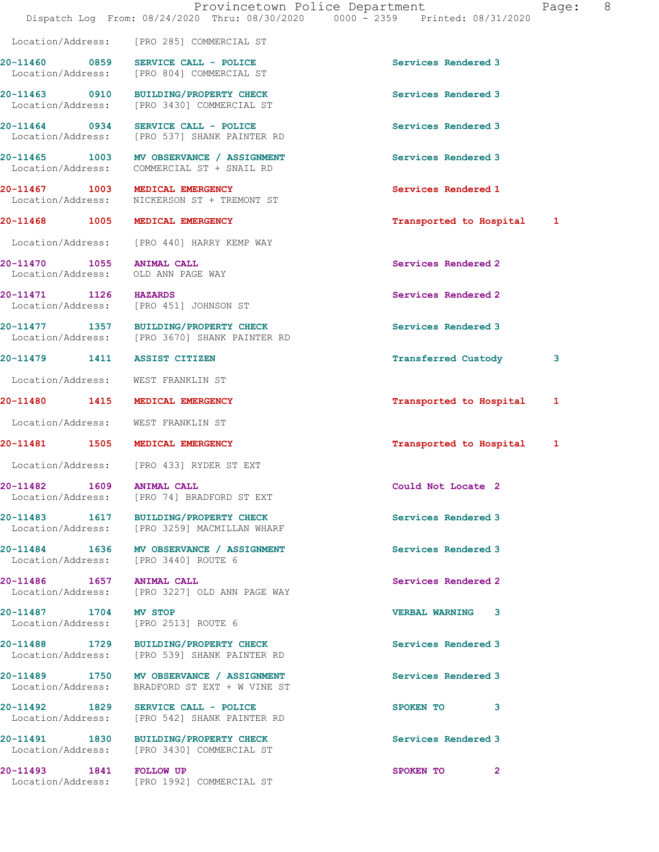|                                                                 | Provincetown Police Department<br>Dispatch Log From: 08/24/2020 Thru: 08/30/2020 0000 - 2359 Printed: 08/31/2020 |                           | Page: | 8 |
|-----------------------------------------------------------------|------------------------------------------------------------------------------------------------------------------|---------------------------|-------|---|
|                                                                 | Location/Address: [PRO 285] COMMERCIAL ST                                                                        |                           |       |   |
|                                                                 | 20-11460 0859 SERVICE CALL - POLICE<br>Location/Address: [PRO 804] COMMERCIAL ST                                 | Services Rendered 3       |       |   |
|                                                                 | 20-11463 0910 BUILDING/PROPERTY CHECK<br>Location/Address: [PRO 3430] COMMERCIAL ST                              | Services Rendered 3       |       |   |
|                                                                 | 20-11464 0934 SERVICE CALL - POLICE<br>Location/Address: [PRO 537] SHANK PAINTER RD                              | Services Rendered 3       |       |   |
|                                                                 | 20-11465 1003 MV OBSERVANCE / ASSIGNMENT<br>Location/Address: COMMERCIAL ST + SNAIL RD                           | Services Rendered 3       |       |   |
|                                                                 | 20-11467 1003 MEDICAL EMERGENCY<br>Location/Address: NICKERSON ST + TREMONT ST                                   | Services Rendered 1       |       |   |
|                                                                 | 20-11468 1005 MEDICAL EMERGENCY                                                                                  | Transported to Hospital   | 1     |   |
|                                                                 | Location/Address: [PRO 440] HARRY KEMP WAY                                                                       |                           |       |   |
| 20-11470 1055 ANIMAL CALL<br>Location/Address: OLD ANN PAGE WAY |                                                                                                                  | Services Rendered 2       |       |   |
|                                                                 | 20-11471 1126 HAZARDS<br>Location/Address: [PRO 451] JOHNSON ST                                                  | Services Rendered 2       |       |   |
|                                                                 | 20-11477 1357 BUILDING/PROPERTY CHECK<br>Location/Address: [PRO 3670] SHANK PAINTER RD                           | Services Rendered 3       |       |   |
| 20-11479 1411 ASSIST CITIZEN                                    |                                                                                                                  | Transferred Custody       | 3     |   |
| Location/Address: WEST FRANKLIN ST                              |                                                                                                                  |                           |       |   |
| 20-11480 1415 MEDICAL EMERGENCY                                 |                                                                                                                  | Transported to Hospital   | 1     |   |
| Location/Address: WEST FRANKLIN ST                              |                                                                                                                  |                           |       |   |
|                                                                 | 20-11481 1505 MEDICAL EMERGENCY                                                                                  | Transported to Hospital 1 |       |   |
|                                                                 | Location/Address: [PRO 433] RYDER ST EXT                                                                         |                           |       |   |
| 20-11482 1609 ANIMAL CALL<br>Location/Address:                  | [PRO 74] BRADFORD ST EXT                                                                                         | Could Not Locate 2        |       |   |
|                                                                 | 20-11483 1617 BUILDING/PROPERTY CHECK<br>Location/Address: [PRO 3259] MACMILLAN WHARF                            | Services Rendered 3       |       |   |
|                                                                 | 20-11484 1636 MV OBSERVANCE / ASSIGNMENT<br>Location/Address: [PRO 3440] ROUTE 6                                 | Services Rendered 3       |       |   |
| 20-11486 1657 ANIMAL CALL                                       | Location/Address: [PRO 3227] OLD ANN PAGE WAY                                                                    | Services Rendered 2       |       |   |
| 20-11487 1704 MV STOP                                           | Location/Address: [PRO 2513] ROUTE 6                                                                             | <b>VERBAL WARNING 3</b>   |       |   |
|                                                                 | 20-11488 1729 BUILDING/PROPERTY CHECK<br>Location/Address: [PRO 539] SHANK PAINTER RD                            | Services Rendered 3       |       |   |
|                                                                 | 20-11489 1750 MV OBSERVANCE / ASSIGNMENT<br>Location/Address: BRADFORD ST EXT + W VINE ST                        | Services Rendered 3       |       |   |
|                                                                 | 20-11492 1829 SERVICE CALL - POLICE<br>Location/Address: [PRO 542] SHANK PAINTER RD                              | SPOKEN TO<br>3            |       |   |
|                                                                 | 20-11491 1830 BUILDING/PROPERTY CHECK<br>Location/Address: [PRO 3430] COMMERCIAL ST                              | Services Rendered 3       |       |   |
| 20-11493 1841 FOLLOW UP                                         |                                                                                                                  | SPOKEN TO<br>$\mathbf{2}$ |       |   |

Location/Address: [PRO 1992] COMMERCIAL ST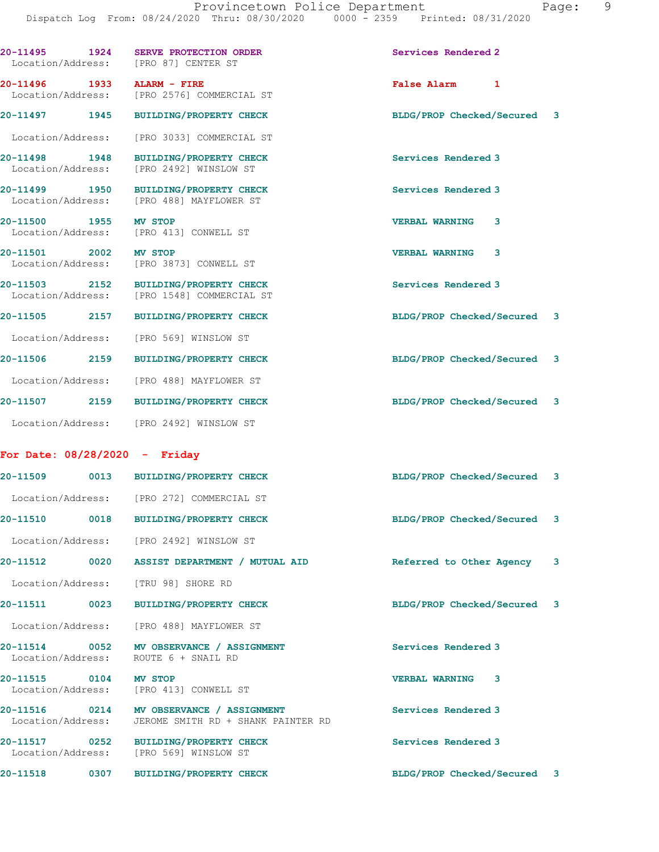|                                    |      | 20-11495    1924    SERVE PROTECTION ORDER<br>Location/Address: [PRO 87] CENTER ST  | Services Rendered 2         |   |   |
|------------------------------------|------|-------------------------------------------------------------------------------------|-----------------------------|---|---|
|                                    |      | Location/Address: [PRO 2576] COMMERCIAL ST                                          | False Alarm 1               |   |   |
|                                    |      | 20-11497 1945 BUILDING/PROPERTY CHECK                                               | BLDG/PROP Checked/Secured 3 |   |   |
|                                    |      | Location/Address: [PRO 3033] COMMERCIAL ST                                          |                             |   |   |
| 20-11498 1948                      |      | <b>BUILDING/PROPERTY CHECK</b><br>Location/Address: [PRO 2492] WINSLOW ST           | Services Rendered 3         |   |   |
| 20-11499 1950                      |      | <b>BUILDING/PROPERTY CHECK</b><br>Location/Address: [PRO 488] MAYFLOWER ST          | Services Rendered 3         |   |   |
| 20-11500 1955 MV STOP              |      | Location/Address: [PRO 413] CONWELL ST                                              | <b>VERBAL WARNING</b>       | 3 |   |
| 20-11501 2002 MV STOP              |      | Location/Address: [PRO 3873] CONWELL ST                                             | <b>VERBAL WARNING</b>       | 3 |   |
|                                    |      | 20-11503 2152 BUILDING/PROPERTY CHECK<br>Location/Address: [PRO 1548] COMMERCIAL ST | Services Rendered 3         |   |   |
|                                    |      | 20-11505 2157 BUILDING/PROPERTY CHECK                                               | BLDG/PROP Checked/Secured 3 |   |   |
|                                    |      | Location/Address: [PRO 569] WINSLOW ST                                              |                             |   |   |
|                                    |      | 20-11506 2159 BUILDING/PROPERTY CHECK                                               | BLDG/PROP Checked/Secured 3 |   |   |
|                                    |      | Location/Address: [PRO 488] MAYFLOWER ST                                            |                             |   |   |
|                                    |      | 20-11507 2159 BUILDING/PROPERTY CHECK                                               | BLDG/PROP Checked/Secured 3 |   |   |
|                                    |      | Location/Address: [PRO 2492] WINSLOW ST                                             |                             |   |   |
| For Date: $08/28/2020 -$ Friday    |      |                                                                                     |                             |   |   |
|                                    |      | 20-11509 0013 BUILDING/PROPERTY CHECK                                               | BLDG/PROP Checked/Secured 3 |   |   |
|                                    |      | Location/Address: [PRO 272] COMMERCIAL ST                                           |                             |   |   |
| 20-11510                           | 0018 | <b>BUILDING/PROPERTY CHECK</b>                                                      | BLDG/PROP Checked/Secured 3 |   |   |
|                                    |      | Location/Address: [PRO 2492] WINSLOW ST                                             |                             |   |   |
|                                    |      | 20-11512 0020 ASSIST DEPARTMENT / MUTUAL AID                                        | Referred to Other Agency    |   | 3 |
|                                    |      | Location/Address: [TRU 98] SHORE RD                                                 |                             |   |   |
| 20-11511 0023                      |      | <b>BUILDING/PROPERTY CHECK</b>                                                      | BLDG/PROP Checked/Secured   |   | 3 |
|                                    |      | Location/Address: [PRO 488] MAYFLOWER ST                                            |                             |   |   |
| 20-11514 0052<br>Location/Address: |      | MV OBSERVANCE / ASSIGNMENT<br>ROUTE 6 + SNAIL RD                                    | Services Rendered 3         |   |   |
| 20-11515                           | 0104 | MV STOP                                                                             | <b>VERBAL WARNING</b>       | 3 |   |

20-11516 0214 MV OBSERVANCE / ASSIGNMENT Services Rendered 3 Location/Address: JEROME SMITH RD + SHANK PAINTER RD

20-11517 0252 BUILDING/PROPERTY CHECK Services Rendered 3 Location/Address: [PRO 569] WINSLOW ST

20-11518 0307 BUILDING/PROPERTY CHECK BLDG/PROP Checked/Secured 3

Location/Address: [PRO 413] CONWELL ST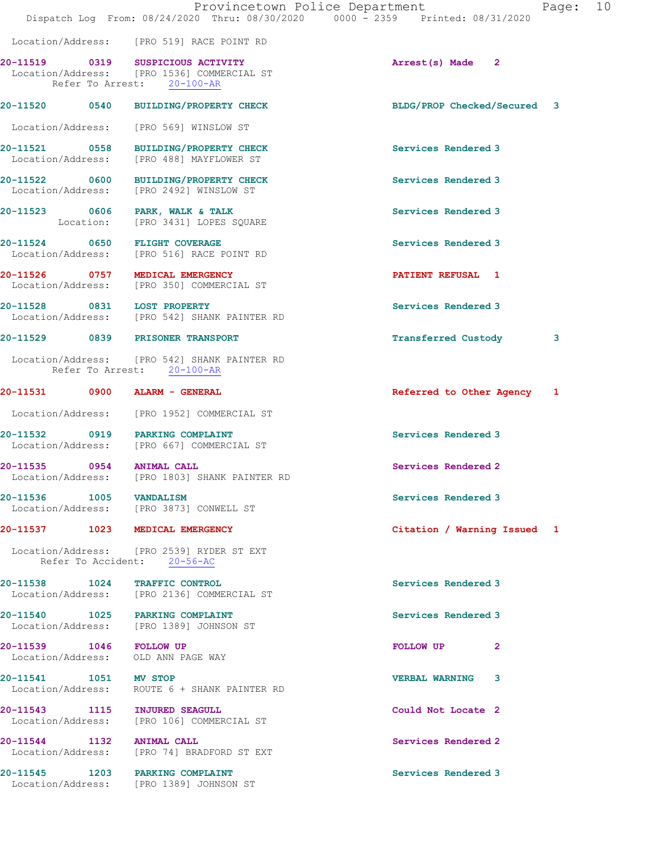|                                                               | Provincetown Police Department<br>Dispatch Log From: 08/24/2020 Thru: 08/30/2020 0000 - 2359 Printed: 08/31/2020 |                             | Page: 10 |
|---------------------------------------------------------------|------------------------------------------------------------------------------------------------------------------|-----------------------------|----------|
|                                                               | Location/Address: [PRO 519] RACE POINT RD                                                                        |                             |          |
| 20-11519 0319                                                 | SUSPICIOUS ACTIVITY<br>Location/Address: [PRO 1536] COMMERCIAL ST<br>Refer To Arrest: 20-100-AR                  | Arrest(s) Made 2            |          |
|                                                               | 20-11520 0540 BUILDING/PROPERTY CHECK                                                                            | BLDG/PROP Checked/Secured 3 |          |
|                                                               | Location/Address: [PRO 569] WINSLOW ST                                                                           |                             |          |
|                                                               | 20-11521 0558 BUILDING/PROPERTY CHECK<br>Location/Address: [PRO 488] MAYFLOWER ST                                | Services Rendered 3         |          |
|                                                               | 20-11522 0600 BUILDING/PROPERTY CHECK<br>Location/Address: [PRO 2492] WINSLOW ST                                 | Services Rendered 3         |          |
| 20-11523 0606 PARK, WALK & TALK                               | Location: [PRO 3431] LOPES SQUARE                                                                                | Services Rendered 3         |          |
| 20-11524 0650 FLIGHT COVERAGE                                 | Location/Address: [PRO 516] RACE POINT RD                                                                        | Services Rendered 3         |          |
| 20-11526 0757 MEDICAL EMERGENCY                               | Location/Address: [PRO 350] COMMERCIAL ST                                                                        | PATIENT REFUSAL 1           |          |
| 20-11528 0831 LOST PROPERTY                                   | Location/Address: [PRO 542] SHANK PAINTER RD                                                                     | Services Rendered 3         |          |
| 20-11529 0839 PRISONER TRANSPORT                              |                                                                                                                  | <b>Transferred Custody</b>  | 3        |
|                                                               | Location/Address: [PRO 542] SHANK PAINTER RD<br>Refer To Arrest: 20-100-AR                                       |                             |          |
|                                                               |                                                                                                                  | Referred to Other Agency 1  |          |
|                                                               | Location/Address: [PRO 1952] COMMERCIAL ST                                                                       |                             |          |
| 20-11532 0919 PARKING COMPLAINT                               | Location/Address: [PRO 667] COMMERCIAL ST                                                                        | Services Rendered 3         |          |
| 20-11535 0954<br>Location/Address:                            | <b>ANIMAL CALL</b><br>[PRO 1803] SHANK PAINTER RD                                                                | Services Rendered 2         |          |
| 20-11536 1005 VANDALISM                                       | Location/Address: [PRO 3873] CONWELL ST                                                                          | Services Rendered 3         |          |
| 20-11537 1023 MEDICAL EMERGENCY                               |                                                                                                                  | Citation / Warning Issued 1 |          |
| Refer To Accident: 20-56-AC                                   | Location/Address: [PRO 2539] RYDER ST EXT                                                                        |                             |          |
| 20-11538 1024 TRAFFIC CONTROL                                 | Location/Address: [PRO 2136] COMMERCIAL ST                                                                       | Services Rendered 3         |          |
| 20-11540 1025 PARKING COMPLAINT                               | Location/Address: [PRO 1389] JOHNSON ST                                                                          | Services Rendered 3         |          |
| 20-11539 1046 FOLLOW UP<br>Location/Address: OLD ANN PAGE WAY |                                                                                                                  | FOLLOW UP<br>$\mathbf{2}$   |          |
| 20-11541 1051 MV STOP                                         | Location/Address: ROUTE 6 + SHANK PAINTER RD                                                                     | <b>VERBAL WARNING 3</b>     |          |
| 20-11543 1115 INJURED SEAGULL                                 | Location/Address: [PRO 106] COMMERCIAL ST                                                                        | Could Not Locate 2          |          |
| 20-11544 1132 ANIMAL CALL                                     | Location/Address: [PRO 74] BRADFORD ST EXT                                                                       | Services Rendered 2         |          |
| 20-11545 1203 PARKING COMPLAINT                               | Location/Address: [PRO 1389] JOHNSON ST                                                                          | Services Rendered 3         |          |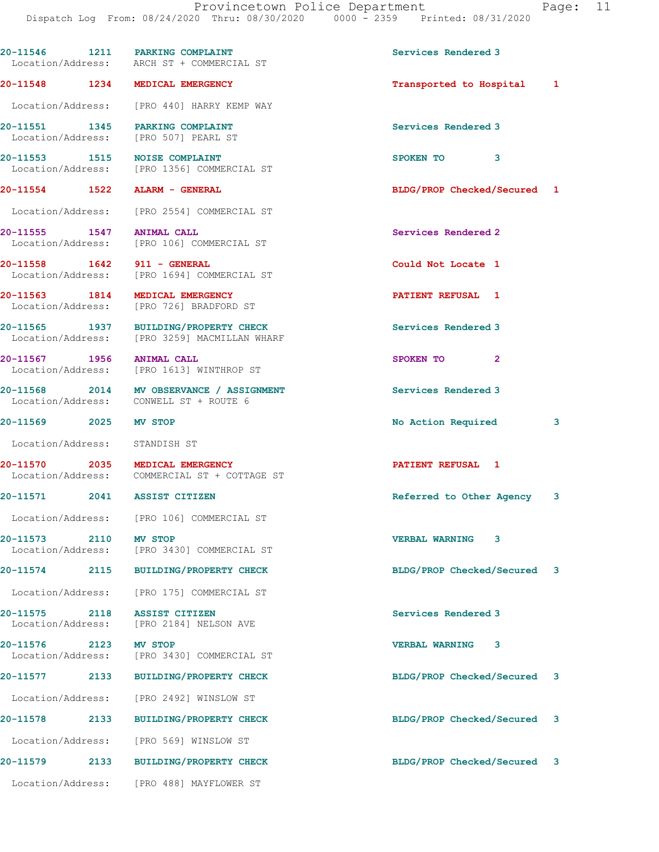|                               |      | 20-11546 1211 PARKING COMPLAINT<br>Location/Address: ARCH ST + COMMERCIAL ST          | Services Rendered 3         |   |
|-------------------------------|------|---------------------------------------------------------------------------------------|-----------------------------|---|
|                               |      | 20-11548 1234 MEDICAL EMERGENCY                                                       | Transported to Hospital 1   |   |
|                               |      | Location/Address: [PRO 440] HARRY KEMP WAY                                            |                             |   |
|                               |      | 20-11551 1345 PARKING COMPLAINT<br>Location/Address: [PRO 507] PEARL ST               | Services Rendered 3         |   |
|                               |      | 20-11553 1515 NOISE COMPLAINT<br>Location/Address: [PRO 1356] COMMERCIAL ST           | SPOKEN TO 3                 |   |
|                               |      | 20-11554 1522 ALARM - GENERAL                                                         | BLDG/PROP Checked/Secured 1 |   |
|                               |      | Location/Address: [PRO 2554] COMMERCIAL ST                                            |                             |   |
|                               |      | 20-11555 1547 ANIMAL CALL<br>Location/Address: [PRO 106] COMMERCIAL ST                | Services Rendered 2         |   |
|                               |      | 20-11558   1642   911 - GENERAL<br>Location/Address: [PRO 1694] COMMERCIAL ST         | Could Not Locate 1          |   |
|                               |      | 20-11563 1814 MEDICAL EMERGENCY<br>Location/Address: [PRO 726] BRADFORD ST            | PATIENT REFUSAL 1           |   |
|                               |      | 20-11565 1937 BUILDING/PROPERTY CHECK<br>Location/Address: [PRO 3259] MACMILLAN WHARF | Services Rendered 3         |   |
| 20-11567 1956 ANIMAL CALL     |      | Location/Address: [PRO 1613] WINTHROP ST                                              | SPOKEN TO 2                 |   |
|                               |      | 20-11568 2014 MV OBSERVANCE / ASSIGNMENT<br>Location/Address: CONWELL ST + ROUTE 6    | <b>Services Rendered 3</b>  |   |
| 20-11569 2025 MV STOP         |      |                                                                                       | No Action Required          | 3 |
| Location/Address: STANDISH ST |      |                                                                                       |                             |   |
|                               |      | 20-11570 2035 MEDICAL EMERGENCY<br>Location/Address: COMMERCIAL ST + COTTAGE ST       | PATIENT REFUSAL 1           |   |
|                               |      | 20-11571 2041 ASSIST CITIZEN                                                          | Referred to Other Agency 3  |   |
|                               |      | Location/Address: [PRO 106] COMMERCIAL ST                                             |                             |   |
| 20-11573                      | 2110 | MV STOP<br>Location/Address: [PRO 3430] COMMERCIAL ST                                 | <b>VERBAL WARNING</b><br>3  |   |
|                               |      | 20-11574 2115 BUILDING/PROPERTY CHECK                                                 | BLDG/PROP Checked/Secured 3 |   |
|                               |      | Location/Address: [PRO 175] COMMERCIAL ST                                             |                             |   |
| 20-11575                      | 2118 | <b>ASSIST CITIZEN</b><br>Location/Address: [PRO 2184] NELSON AVE                      | Services Rendered 3         |   |
|                               |      | 20-11576 2123 MV STOP<br>Location/Address: [PRO 3430] COMMERCIAL ST                   | VERBAL WARNING 3            |   |
| 20-11577                      | 2133 | <b>BUILDING/PROPERTY CHECK</b>                                                        | BLDG/PROP Checked/Secured 3 |   |
|                               |      | Location/Address: [PRO 2492] WINSLOW ST                                               |                             |   |
| 20-11578                      | 2133 | <b>BUILDING/PROPERTY CHECK</b>                                                        | BLDG/PROP Checked/Secured 3 |   |
|                               |      | Location/Address: [PRO 569] WINSLOW ST                                                |                             |   |
| 20-11579 2133                 |      | <b>BUILDING/PROPERTY CHECK</b>                                                        | BLDG/PROP Checked/Secured 3 |   |
| Location/Address:             |      | [PRO 488] MAYFLOWER ST                                                                |                             |   |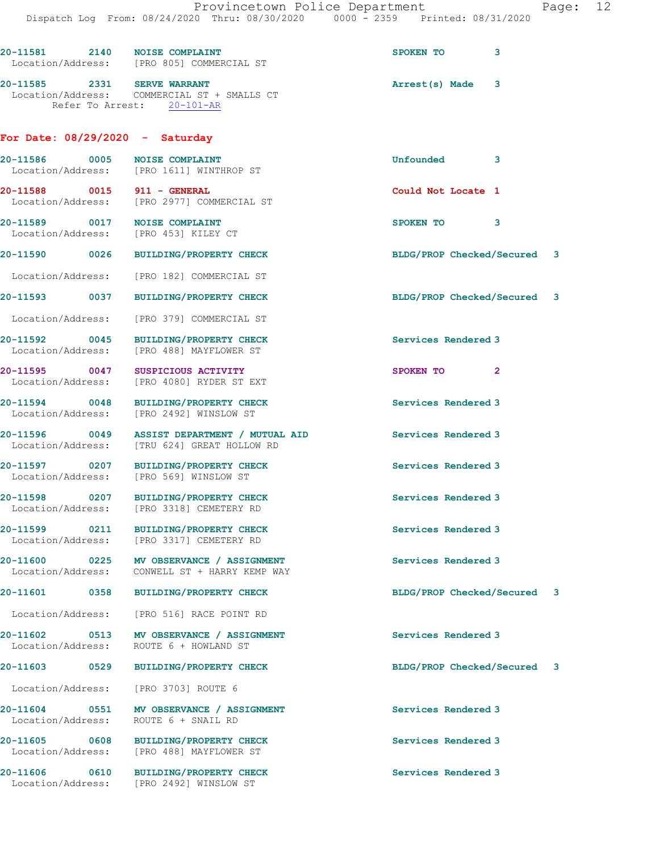|                                   | 20-11581 2140 NOISE COMPLAINT<br>Location/Address: [PRO 805] COMMERCIAL ST                  | SPOKEN TO                   | 3            |
|-----------------------------------|---------------------------------------------------------------------------------------------|-----------------------------|--------------|
| 20-11585 2331 SERVE WARRANT       | Location/Address: COMMERCIAL ST + SMALLS CT<br>Refer To Arrest: 20-101-AR                   | Arrest(s) Made              | 3            |
| For Date: $08/29/2020 -$ Saturday |                                                                                             |                             |              |
|                                   | 20-11586 0005 NOISE COMPLAINT<br>Location/Address: [PRO 1611] WINTHROP ST                   | Unfounded                   | 3            |
| 20-11588 0015 911 - GENERAL       | Location/Address: [PRO 2977] COMMERCIAL ST                                                  | Could Not Locate 1          |              |
|                                   | 20-11589 0017 NOISE COMPLAINT<br>Location/Address: [PRO 453] KILEY CT                       | SPOKEN TO 3                 |              |
|                                   | 20-11590 0026 BUILDING/PROPERTY CHECK                                                       | BLDG/PROP Checked/Secured 3 |              |
|                                   | Location/Address: [PRO 182] COMMERCIAL ST                                                   |                             |              |
|                                   | 20-11593 0037 BUILDING/PROPERTY CHECK                                                       | BLDG/PROP Checked/Secured 3 |              |
|                                   | Location/Address: [PRO 379] COMMERCIAL ST                                                   |                             |              |
| 20-11592 0045                     | <b>BUILDING/PROPERTY CHECK</b><br>Location/Address: [PRO 488] MAYFLOWER ST                  | Services Rendered 3         |              |
| 20-11595 0047                     | SUSPICIOUS ACTIVITY<br>Location/Address: [PRO 4080] RYDER ST EXT                            | SPOKEN TO                   | $\mathbf{2}$ |
| 20-11594 0048                     | <b>BUILDING/PROPERTY CHECK</b><br>Location/Address: [PRO 2492] WINSLOW ST                   | Services Rendered 3         |              |
|                                   | 20-11596 0049 ASSIST DEPARTMENT / MUTUAL AID<br>Location/Address: [TRU 624] GREAT HOLLOW RD | <b>Services Rendered 3</b>  |              |
|                                   | 20-11597 0207 BUILDING/PROPERTY CHECK<br>Location/Address: [PRO 569] WINSLOW ST             | Services Rendered 3         |              |
|                                   | 20-11598 0207 BUILDING/PROPERTY CHECK<br>Location/Address: [PRO 3318] CEMETERY RD           | Services Rendered 3         |              |
|                                   | 20-11599 0211 BUILDING/PROPERTY CHECK<br>Location/Address: [PRO 3317] CEMETERY RD           | Services Rendered 3         |              |
|                                   | 20-11600 0225 MV OBSERVANCE / ASSIGNMENT<br>Location/Address: CONWELL ST + HARRY KEMP WAY   | Services Rendered 3         |              |
|                                   | 20-11601 0358 BUILDING/PROPERTY CHECK                                                       | BLDG/PROP Checked/Secured 3 |              |
|                                   | Location/Address: [PRO 516] RACE POINT RD                                                   |                             |              |
|                                   | 20-11602 0513 MV OBSERVANCE / ASSIGNMENT<br>Location/Address: ROUTE 6 + HOWLAND ST          | Services Rendered 3         |              |
|                                   | 20-11603 0529 BUILDING/PROPERTY CHECK                                                       | BLDG/PROP Checked/Secured 3 |              |
|                                   | Location/Address: [PRO 3703] ROUTE 6                                                        |                             |              |
|                                   | 20-11604 0551 MV OBSERVANCE / ASSIGNMENT<br>Location/Address: ROUTE 6 + SNAIL RD            | Services Rendered 3         |              |
|                                   | 20-11605 0608 BUILDING/PROPERTY CHECK<br>Location/Address: [PRO 488] MAYFLOWER ST           | Services Rendered 3         |              |
|                                   | 20-11606 0610 BUILDING/PROPERTY CHECK<br>Location/Address: [PRO 2492] WINSLOW ST            | Services Rendered 3         |              |
|                                   |                                                                                             |                             |              |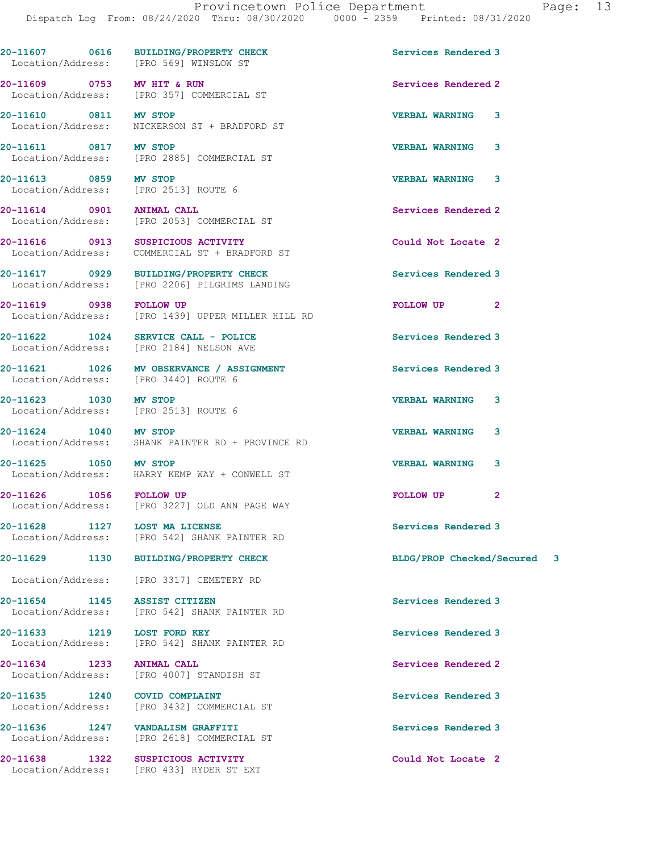|                                                               | 20-11607 0616 BUILDING/PROPERTY CHECK<br>Location/Address: [PRO 569] WINSLOW ST        | Services Rendered 3         |
|---------------------------------------------------------------|----------------------------------------------------------------------------------------|-----------------------------|
| 20-11609 0753 MV HIT & RUN                                    | Location/Address: [PRO 357] COMMERCIAL ST                                              | Services Rendered 2         |
| 20-11610 0811 MV STOP                                         | Location/Address: NICKERSON ST + BRADFORD ST                                           | <b>VERBAL WARNING</b><br>3  |
|                                                               | 20-11611 0817 MV STOP<br>Location/Address: [PRO 2885] COMMERCIAL ST                    | 3<br><b>VERBAL WARNING</b>  |
| 20-11613 0859 MV STOP<br>Location/Address: [PRO 2513] ROUTE 6 |                                                                                        | <b>VERBAL WARNING</b><br>3  |
| 20-11614 0901 ANIMAL CALL                                     | Location/Address: [PRO 2053] COMMERCIAL ST                                             | Services Rendered 2         |
|                                                               | 20-11616  0913  SUSPICIOUS ACTIVITY<br>Location/Address: COMMERCIAL ST + BRADFORD ST   | Could Not Locate 2          |
|                                                               | 20-11617 0929 BUILDING/PROPERTY CHECK<br>Location/Address: [PRO 2206] PILGRIMS LANDING | Services Rendered 3         |
| 20-11619 0938 FOLLOW UP                                       | Location/Address: [PRO 1439] UPPER MILLER HILL RD                                      | FOLLOW UP <sub>2</sub>      |
|                                                               | 20-11622 1024 SERVICE CALL - POLICE<br>Location/Address: [PRO 2184] NELSON AVE         | Services Rendered 3         |
| Location/Address: [PRO 3440] ROUTE 6                          | 20-11621 1026 MV OBSERVANCE / ASSIGNMENT                                               | Services Rendered 3         |
| 20-11623 1030 MV STOP<br>Location/Address: [PRO 2513] ROUTE 6 |                                                                                        | <b>VERBAL WARNING</b><br>3  |
| 20-11624 1040 MV STOP                                         | Location/Address: SHANK PAINTER RD + PROVINCE RD                                       | <b>VERBAL WARNING</b><br>3  |
|                                                               | 20-11625 1050 MV STOP<br>Location/Address: HARRY KEMP WAY + CONWELL ST                 | <b>VERBAL WARNING</b><br>3  |
|                                                               | 20-11626 1056 FOLLOW UP<br>Location/Address: [PRO 3227] OLD ANN PAGE WAY               | FOLLOW UP<br>$\mathbf{2}$   |
| 20-11628 1127                                                 | <b>LOST MA LICENSE</b><br>Location/Address: [PRO 542] SHANK PAINTER RD                 | Services Rendered 3         |
| 20-11629                                                      | 1130 BUILDING/PROPERTY CHECK                                                           | BLDG/PROP Checked/Secured 3 |
|                                                               | Location/Address: [PRO 3317] CEMETERY RD                                               |                             |
| 20-11654 1145 ASSIST CITIZEN                                  | Location/Address: [PRO 542] SHANK PAINTER RD                                           | Services Rendered 3         |
| 20-11633 1219 LOST FORD KEY                                   | Location/Address: [PRO 542] SHANK PAINTER RD                                           | Services Rendered 3         |
| 20-11634 1233                                                 | <b>ANIMAL CALL</b><br>Location/Address: [PRO 4007] STANDISH ST                         | Services Rendered 2         |
| 20-11635 1240 COVID COMPLAINT                                 | Location/Address: [PRO 3432] COMMERCIAL ST                                             | Services Rendered 3         |
| 20-11636 1247 VANDALISM GRAFFITI                              | Location/Address: [PRO 2618] COMMERCIAL ST                                             | Services Rendered 3         |
| 20-11638 1322                                                 | SUSPICIOUS ACTIVITY<br>Location/Address: [PRO 433] RYDER ST EXT                        | Could Not Locate 2          |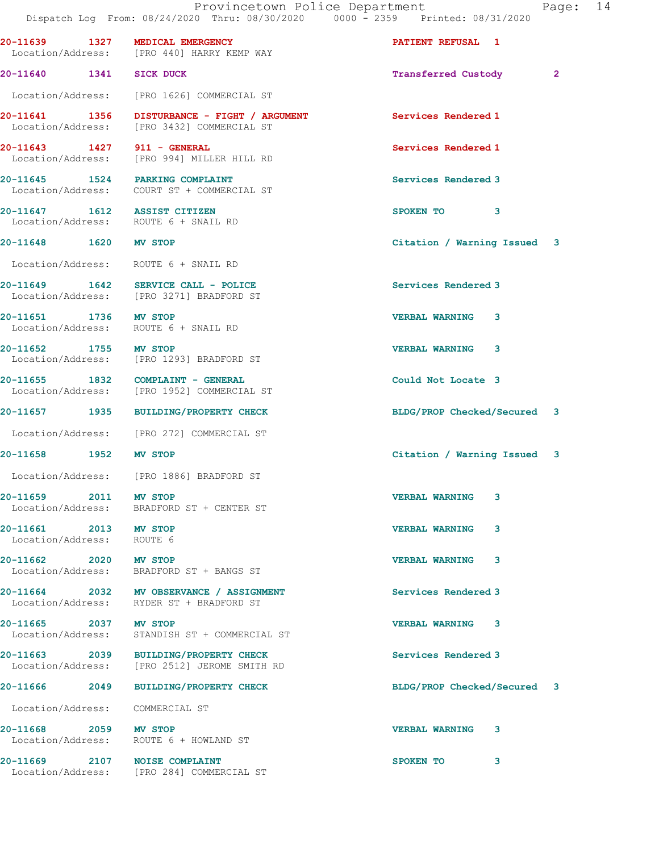Provincetown Police Department Fage: 14 Dispatch Log From: 08/24/2020 Thru: 08/30/2020 0000 - 2359 Printed: 08/31/2020 20-11639 1327 MEDICAL EMERGENCY PATIENT REFUSAL 1 Location/Address: [PRO 440] HARRY KEMP WAY 20-11640 1341 SICK DUCK Transferred Custody 2 Location/Address: [PRO 1626] COMMERCIAL ST 20-11641 1356 DISTURBANCE - FIGHT / ARGUMENT Services Rendered 1 Location/Address: [PRO 3432] COMMERCIAL ST 20-11643 1427 911 - GENERAL Services Rendered 1 Location/Address: [PRO 994] MILLER HILL RD 20-11645 1524 PARKING COMPLAINT Services Rendered 3 Location/Address: COURT ST + COMMERCIAL ST 20-11647 1612 ASSIST CITIZEN SPOKEN TO 3 Location/Address: ROUTE 6 + SNAIL RD 20-11648 1620 MV STOP Citation / Warning Issued 3 Location/Address: ROUTE 6 + SNAIL RD 20-11649 1642 SERVICE CALL - POLICE 30 Services Rendered 3 Location/Address: [PRO 3271] BRADFORD ST 20-11651 1736 MV STOP VERBAL WARNING 3 Location/Address: ROUTE 6 + SNAIL RD 20-11652 1755 MV STOP VERBAL WARNING 3 Location/Address: [PRO 1293] BRADFORD ST 20-11655 1832 COMPLAINT - GENERAL 20-11655 1832 COMPLAINT - GENERAL COULD COULD Not Locate 3 [PRO 1952] COMMERCIAL ST 20-11657 1935 BUILDING/PROPERTY CHECK BLDG/PROP Checked/Secured 3 Location/Address: [PRO 272] COMMERCIAL ST 20-11658 1952 MV STOP Citation / Warning Issued 3 Location/Address: [PRO 1886] BRADFORD ST 20-11659 2011 MV STOP VERBAL WARNING 3 Location/Address: BRADFORD ST + CENTER ST 20-11661 2013 MV STOP VERBAL WARNING 3 Location/Address: ROUTE 6 20-11662 2020 MV STOP VERBAL WARNING 3 Location/Address: BRADFORD ST + BANGS ST 20-11664 2032 MV OBSERVANCE / ASSIGNMENT Services Rendered 3 Location/Address: RYDER ST + BRADFORD ST 20-11665 2037 MV STOP VERBAL WARNING 3 Location/Address: STANDISH ST + COMMERCIAL ST 20-11663 2039 BUILDING/PROPERTY CHECK Services Rendered 3 Location/Address: [PRO 2512] JEROME SMITH RD 20-11666 2049 BUILDING/PROPERTY CHECK BLDG/PROP Checked/Secured 3 Location/Address: COMMERCIAL ST 20-11668 2059 MV STOP VERBAL WARNING 3 Location/Address: ROUTE 6 + HOWLAND ST

20-11669 2107 NOISE COMPLAINT SPOKEN TO 3 Location/Address: [PRO 284] COMMERCIAL ST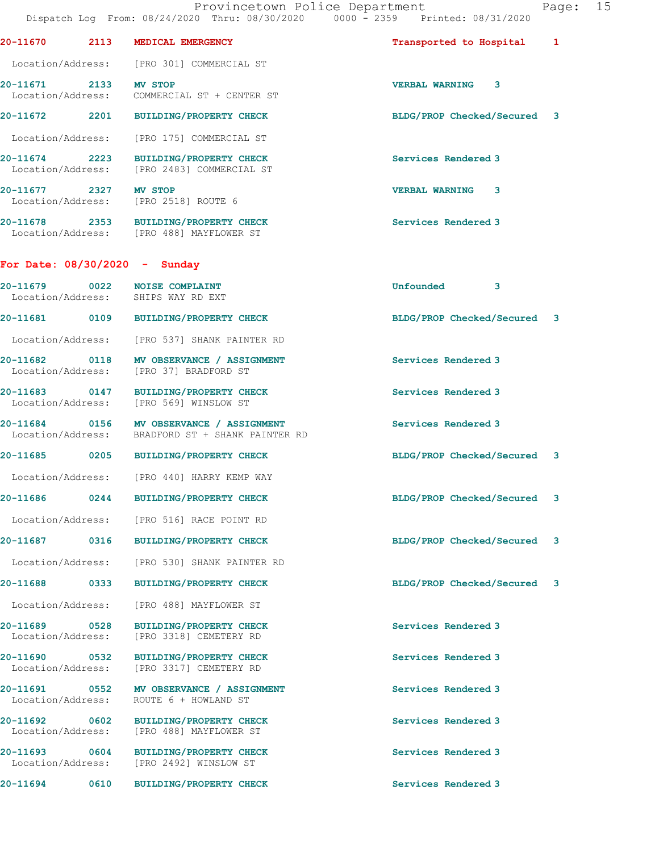| Provincetown Police Department<br>Page:<br>Dispatch Log From: 08/24/2020 Thru: 08/30/2020 0000 - 2359 Printed: 08/31/2020 |  |                                                                                              |                             |   |  |
|---------------------------------------------------------------------------------------------------------------------------|--|----------------------------------------------------------------------------------------------|-----------------------------|---|--|
|                                                                                                                           |  | 20-11670 2113 MEDICAL EMERGENCY                                                              | Transported to Hospital 1   |   |  |
|                                                                                                                           |  | Location/Address: [PRO 301] COMMERCIAL ST                                                    |                             |   |  |
| 20-11671 2133 MV STOP                                                                                                     |  | Location/Address: COMMERCIAL ST + CENTER ST                                                  | VERBAL WARNING 3            |   |  |
|                                                                                                                           |  | 20-11672 2201 BUILDING/PROPERTY CHECK                                                        | BLDG/PROP Checked/Secured 3 |   |  |
|                                                                                                                           |  | Location/Address: [PRO 175] COMMERCIAL ST                                                    |                             |   |  |
|                                                                                                                           |  | 20-11674 2223 BUILDING/PROPERTY CHECK<br>Location/Address: [PRO 2483] COMMERCIAL ST          | Services Rendered 3         |   |  |
| 20-11677 2327 MV STOP                                                                                                     |  | Location/Address: [PRO 2518] ROUTE 6                                                         | <b>VERBAL WARNING 3</b>     |   |  |
|                                                                                                                           |  | 20-11678 2353 BUILDING/PROPERTY CHECK<br>Location/Address: [PRO 488] MAYFLOWER ST            | Services Rendered 3         |   |  |
|                                                                                                                           |  | For Date: $08/30/2020 -$ Sunday                                                              |                             |   |  |
|                                                                                                                           |  | 20-11679 0022 NOISE COMPLAINT<br>Location/Address: SHIPS WAY RD EXT                          | Unfounded 3                 |   |  |
|                                                                                                                           |  | 20-11681 0109 BUILDING/PROPERTY CHECK                                                        | BLDG/PROP Checked/Secured 3 |   |  |
|                                                                                                                           |  | Location/Address: [PRO 537] SHANK PAINTER RD                                                 |                             |   |  |
|                                                                                                                           |  | 20-11682 0118 MV OBSERVANCE / ASSIGNMENT<br>Location/Address: [PRO 37] BRADFORD ST           | Services Rendered 3         |   |  |
|                                                                                                                           |  | 20-11683 0147 BUILDING/PROPERTY CHECK<br>Location/Address: [PRO 569] WINSLOW ST              | Services Rendered 3         |   |  |
|                                                                                                                           |  | 20-11684 0156 MV OBSERVANCE / ASSIGNMENT<br>Location/Address: BRADFORD ST + SHANK PAINTER RD | Services Rendered 3         |   |  |
|                                                                                                                           |  | 20-11685 0205 BUILDING/PROPERTY CHECK                                                        | BLDG/PROP Checked/Secured 3 |   |  |
|                                                                                                                           |  | Location/Address: [PRO 440] HARRY KEMP WAY                                                   |                             |   |  |
| <b>20-11686</b>                                                                                                           |  | 0244 BUILDING/PROPERTY CHECK                                                                 | BLDG/PROP Checked/Secured 3 |   |  |
|                                                                                                                           |  | Location/Address: [PRO 516] RACE POINT RD                                                    |                             |   |  |
|                                                                                                                           |  | 20-11687 0316 BUILDING/PROPERTY CHECK                                                        | BLDG/PROP Checked/Secured   | 3 |  |
| Location/Address:                                                                                                         |  | [PRO 530] SHANK PAINTER RD                                                                   |                             |   |  |
| 20-11688 0333                                                                                                             |  | <b>BUILDING/PROPERTY CHECK</b>                                                               | BLDG/PROP Checked/Secured   | 3 |  |
| Location/Address:                                                                                                         |  | [PRO 488] MAYFLOWER ST                                                                       |                             |   |  |
| 20-11689 0528<br>Location/Address:                                                                                        |  | <b>BUILDING/PROPERTY CHECK</b><br>[PRO 3318] CEMETERY RD                                     | Services Rendered 3         |   |  |
| 20-11690 0532<br>Location/Address:                                                                                        |  | <b>BUILDING/PROPERTY CHECK</b><br>[PRO 3317] CEMETERY RD                                     | Services Rendered 3         |   |  |
| Location/Address:                                                                                                         |  | 20-11691 0552 MV OBSERVANCE / ASSIGNMENT<br>ROUTE 6 + HOWLAND ST                             | Services Rendered 3         |   |  |
| Location/Address:                                                                                                         |  | 20-11692 0602 BUILDING/PROPERTY CHECK<br>[PRO 488] MAYFLOWER ST                              | Services Rendered 3         |   |  |
| 20-11693 0604                                                                                                             |  | BUILDING/PROPERTY CHECK<br>Location/Address: [PRO 2492] WINSLOW ST                           | Services Rendered 3         |   |  |

20-11694 0610 BUILDING/PROPERTY CHECK Services Rendered 3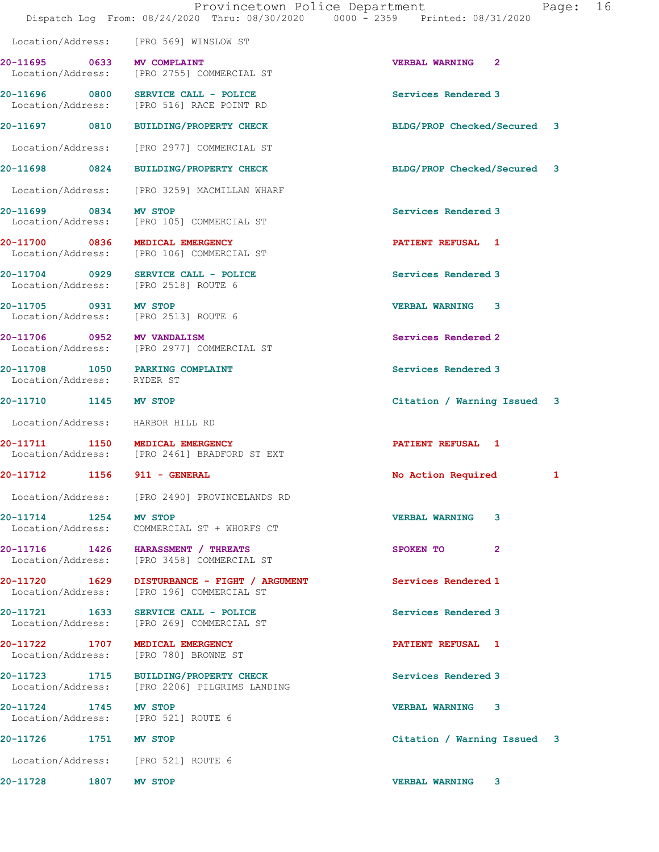|                                    | Provincetown Police Department<br>Dispatch Log From: 08/24/2020 Thru: 08/30/2020 0000 - 2359 Printed: 08/31/2020 |                             | Page: 16 |  |
|------------------------------------|------------------------------------------------------------------------------------------------------------------|-----------------------------|----------|--|
|                                    | Location/Address: [PRO 569] WINSLOW ST                                                                           |                             |          |  |
| 20-11695 0633 MV COMPLAINT         | Location/Address: [PRO 2755] COMMERCIAL ST                                                                       | <b>VERBAL WARNING 2</b>     |          |  |
|                                    | 20-11696 0800 SERVICE CALL - POLICE<br>Location/Address: [PRO 516] RACE POINT RD                                 | Services Rendered 3         |          |  |
|                                    | 20-11697 0810 BUILDING/PROPERTY CHECK                                                                            | BLDG/PROP Checked/Secured 3 |          |  |
|                                    | Location/Address: [PRO 2977] COMMERCIAL ST                                                                       |                             |          |  |
|                                    | 20-11698 0824 BUILDING/PROPERTY CHECK                                                                            | BLDG/PROP Checked/Secured 3 |          |  |
|                                    | Location/Address: [PRO 3259] MACMILLAN WHARF                                                                     |                             |          |  |
| 20-11699 0834 MV STOP              | Location/Address: [PRO 105] COMMERCIAL ST                                                                        | Services Rendered 3         |          |  |
|                                    | 20-11700 0836 MEDICAL EMERGENCY<br>Location/Address: [PRO 106] COMMERCIAL ST                                     | <b>PATIENT REFUSAL 1</b>    |          |  |
|                                    | $20-11704$ 0929 SERVICE CALL - POLICE<br>Location/Address: [PRO 2518] ROUTE 6                                    | Services Rendered 3         |          |  |
|                                    | 20-11705 0931 MV STOP<br>Location/Address: [PRO 2513] ROUTE 6                                                    | <b>VERBAL WARNING 3</b>     |          |  |
| 20-11706 0952 MV VANDALISM         | Location/Address: [PRO 2977] COMMERCIAL ST                                                                       | Services Rendered 2         |          |  |
|                                    | 20-11708 1050 PARKING COMPLAINT<br>Location/Address: RYDER ST                                                    | Services Rendered 3         |          |  |
| 20-11710 1145 MV STOP              |                                                                                                                  | Citation / Warning Issued 3 |          |  |
| Location/Address: HARBOR HILL RD   |                                                                                                                  |                             |          |  |
|                                    | 20-11711 1150 MEDICAL EMERGENCY<br>Location/Address: [PRO 2461] BRADFORD ST EXT                                  | <b>PATIENT REFUSAL 1</b>    |          |  |
| 20-11712 1156 911 - GENERAL        |                                                                                                                  | No Action Required          | 1        |  |
|                                    | Location/Address: [PRO 2490] PROVINCELANDS RD                                                                    |                             |          |  |
| 20-11714 1254 MV STOP              | Location/Address: COMMERCIAL ST + WHORFS CT                                                                      | <b>VERBAL WARNING 3</b>     |          |  |
| Location/Address:                  | 20-11716 1426 HARASSMENT / THREATS<br>[PRO 3458] COMMERCIAL ST                                                   | SPOKEN TO<br>$\overline{2}$ |          |  |
| 20-11720 1629<br>Location/Address: | DISTURBANCE - FIGHT / ARGUMENT<br>[PRO 196] COMMERCIAL ST                                                        | Services Rendered 1         |          |  |
|                                    | 20-11721 1633 SERVICE CALL - POLICE<br>Location/Address: [PRO 269] COMMERCIAL ST                                 | Services Rendered 3         |          |  |
|                                    | 20-11722 1707 MEDICAL EMERGENCY<br>Location/Address: [PRO 780] BROWNE ST                                         | <b>PATIENT REFUSAL 1</b>    |          |  |
|                                    |                                                                                                                  |                             |          |  |

20-11723 1715 BUILDING/PROPERTY CHECK Services Rendered 3 Location/Address: [PRO 2206] PILGRIMS LANDING

20-11724 1745 MV STOP VERBAL WARNING 3 Location/Address: [PRO 521] ROUTE 6

20-11726 1751 MV STOP Citation / Warning Issued 3

Location/Address: [PRO 521] ROUTE 6

20-11728 1807 MV STOP VERBAL WARNING 3